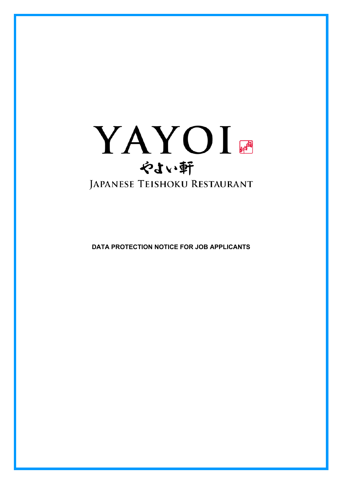

**DATA PROTECTION NOTICE FOR JOB APPLICANTS**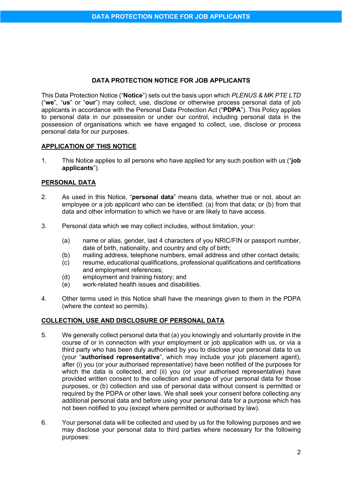## **DATA PROTECTION NOTICE FOR JOB APPLICANTS**

This Data Protection Notice ("**Notice**") sets out the basis upon which *PLENUS & MK PTE LTD* ("**we**", "**us**" or "**our**") may collect, use, disclose or otherwise process personal data of job applicants in accordance with the Personal Data Protection Act ("**PDPA**"). This Policy applies to personal data in our possession or under our control, including personal data in the possession of organisations which we have engaged to collect, use, disclose or process personal data for our purposes.

### **APPLICATION OF THIS NOTICE**

1. This Notice applies to all persons who have applied for any such position with us ("**job applicants**").

### **PERSONAL DATA**

- 2. As used in this Notice, "**personal data**" means data, whether true or not, about an employee or a job applicant who can be identified: (a) from that data; or (b) from that data and other information to which we have or are likely to have access.
- 3. Personal data which we may collect includes, without limitation, your:
	- (a) name or alias, gender, last 4 characters of you NRIC/FIN or passport number, date of birth, nationality, and country and city of birth;
	- (b) mailing address, telephone numbers, email address and other contact details;
	- (c) resume, educational qualifications, professional qualifications and certifications and employment references;
	- (d) employment and training history; and
	- (e) work-related health issues and disabilities.
- 4. Other terms used in this Notice shall have the meanings given to them in the PDPA (where the context so permits).

# **COLLECTION, USE AND DISCLOSURE OF PERSONAL DATA**

- 5. We generally collect personal data that (a) you knowingly and voluntarily provide in the course of or in connection with your employment or job application with us, or via a third party who has been duly authorised by you to disclose your personal data to us (your "**authorised representative**", which may include your job placement agent), after (i) you (or your authorised representative) have been notified of the purposes for which the data is collected, and (ii) you (or your authorised representative) have provided written consent to the collection and usage of your personal data for those purposes, or (b) collection and use of personal data without consent is permitted or required by the PDPA or other laws. We shall seek your consent before collecting any additional personal data and before using your personal data for a purpose which has not been notified to you (except where permitted or authorised by law).
- 6. Your personal data will be collected and used by us for the following purposes and we may disclose your personal data to third parties where necessary for the following purposes: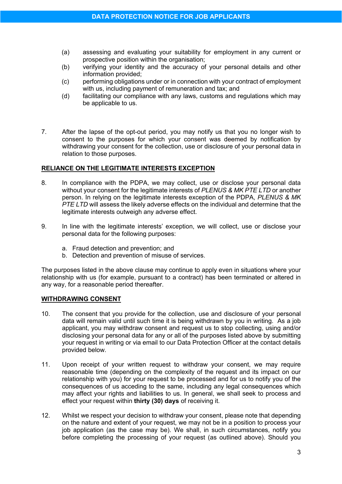- (a) assessing and evaluating your suitability for employment in any current or prospective position within the organisation;
- (b) verifying your identity and the accuracy of your personal details and other information provided;
- (c) performing obligations under or in connection with your contract of employment with us, including payment of remuneration and tax; and
- (d) facilitating our compliance with any laws, customs and regulations which may be applicable to us.
- 7. After the lapse of the opt-out period, you may notify us that you no longer wish to consent to the purposes for which your consent was deemed by notification by withdrawing your consent for the collection, use or disclosure of your personal data in relation to those purposes.

### **RELIANCE ON THE LEGITIMATE INTERESTS EXCEPTION**

- 8. In compliance with the PDPA, we may collect, use or disclose your personal data without your consent for the legitimate interests of *PLENUS & MK PTE LTD* or another person. In relying on the legitimate interests exception of the PDPA, *PLENUS & MK PTE LTD* will assess the likely adverse effects on the individual and determine that the legitimate interests outweigh any adverse effect.
- 9. In line with the legitimate interests' exception, we will collect, use or disclose your personal data for the following purposes:
	- a. Fraud detection and prevention; and
	- b. Detection and prevention of misuse of services.

The purposes listed in the above clause may continue to apply even in situations where your relationship with us (for example, pursuant to a contract) has been terminated or altered in any way, for a reasonable period thereafter.

### **WITHDRAWING CONSENT**

- 10. The consent that you provide for the collection, use and disclosure of your personal data will remain valid until such time it is being withdrawn by you in writing. As a job applicant, you may withdraw consent and request us to stop collecting, using and/or disclosing your personal data for any or all of the purposes listed above by submitting your request in writing or via email to our Data Protection Officer at the contact details provided below.
- 11. Upon receipt of your written request to withdraw your consent, we may require reasonable time (depending on the complexity of the request and its impact on our relationship with you) for your request to be processed and for us to notify you of the consequences of us acceding to the same, including any legal consequences which may affect your rights and liabilities to us. In general, we shall seek to process and effect your request within **thirty (30) days** of receiving it.
- 12. Whilst we respect your decision to withdraw your consent, please note that depending on the nature and extent of your request, we may not be in a position to process your job application (as the case may be). We shall, in such circumstances, notify you before completing the processing of your request (as outlined above). Should you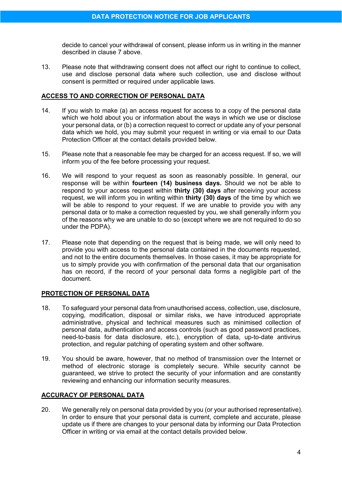decide to cancel your withdrawal of consent, please inform us in writing in the manner described in clause 7 above.

13. Please note that withdrawing consent does not affect our right to continue to collect, use and disclose personal data where such collection, use and disclose without consent is permitted or required under applicable laws.

### **ACCESS TO AND CORRECTION OF PERSONAL DATA**

- 14. If you wish to make (a) an access request for access to a copy of the personal data which we hold about you or information about the ways in which we use or disclose your personal data, or (b) a correction request to correct or update any of your personal data which we hold, you may submit your request in writing or via email to our Data Protection Officer at the contact details provided below.
- 15. Please note that a reasonable fee may be charged for an access request. If so, we will inform you of the fee before processing your request.
- 16. We will respond to your request as soon as reasonably possible. In general, our response will be within **fourteen (14) business days.** Should we not be able to respond to your access request within **thirty (30) days** after receiving your access request, we will inform you in writing within **thirty (30) days** of the time by which we will be able to respond to your request. If we are unable to provide you with any personal data or to make a correction requested by you, we shall generally inform you of the reasons why we are unable to do so (except where we are not required to do so under the PDPA).
- 17. Please note that depending on the request that is being made, we will only need to provide you with access to the personal data contained in the documents requested, and not to the entire documents themselves. In those cases, it may be appropriate for us to simply provide you with confirmation of the personal data that our organisation has on record, if the record of your personal data forms a negligible part of the document.

### **PROTECTION OF PERSONAL DATA**

- 18. To safeguard your personal data from unauthorised access, collection, use, disclosure, copying, modification, disposal or similar risks, we have introduced appropriate administrative, physical and technical measures such as minimised collection of personal data, authentication and access controls (such as good password practices, need-to-basis for data disclosure, etc.), encryption of data, up-to-date antivirus protection, and regular patching of operating system and other software.
- 19. You should be aware, however, that no method of transmission over the Internet or method of electronic storage is completely secure. While security cannot be guaranteed, we strive to protect the security of your information and are constantly reviewing and enhancing our information security measures.

# **ACCURACY OF PERSONAL DATA**

20. We generally rely on personal data provided by you (or your authorised representative). In order to ensure that your personal data is current, complete and accurate, please update us if there are changes to your personal data by informing our Data Protection Officer in writing or via email at the contact details provided below.